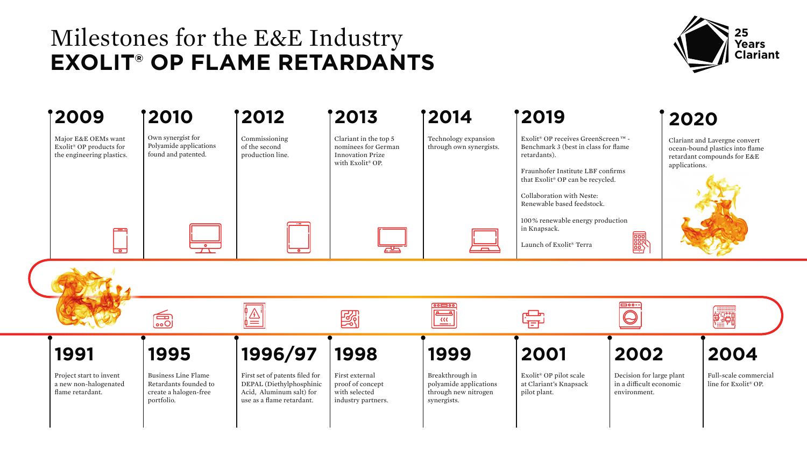## Milestones for the E&E Industry **EXOLIT® OP FLAME RETARDANTS**